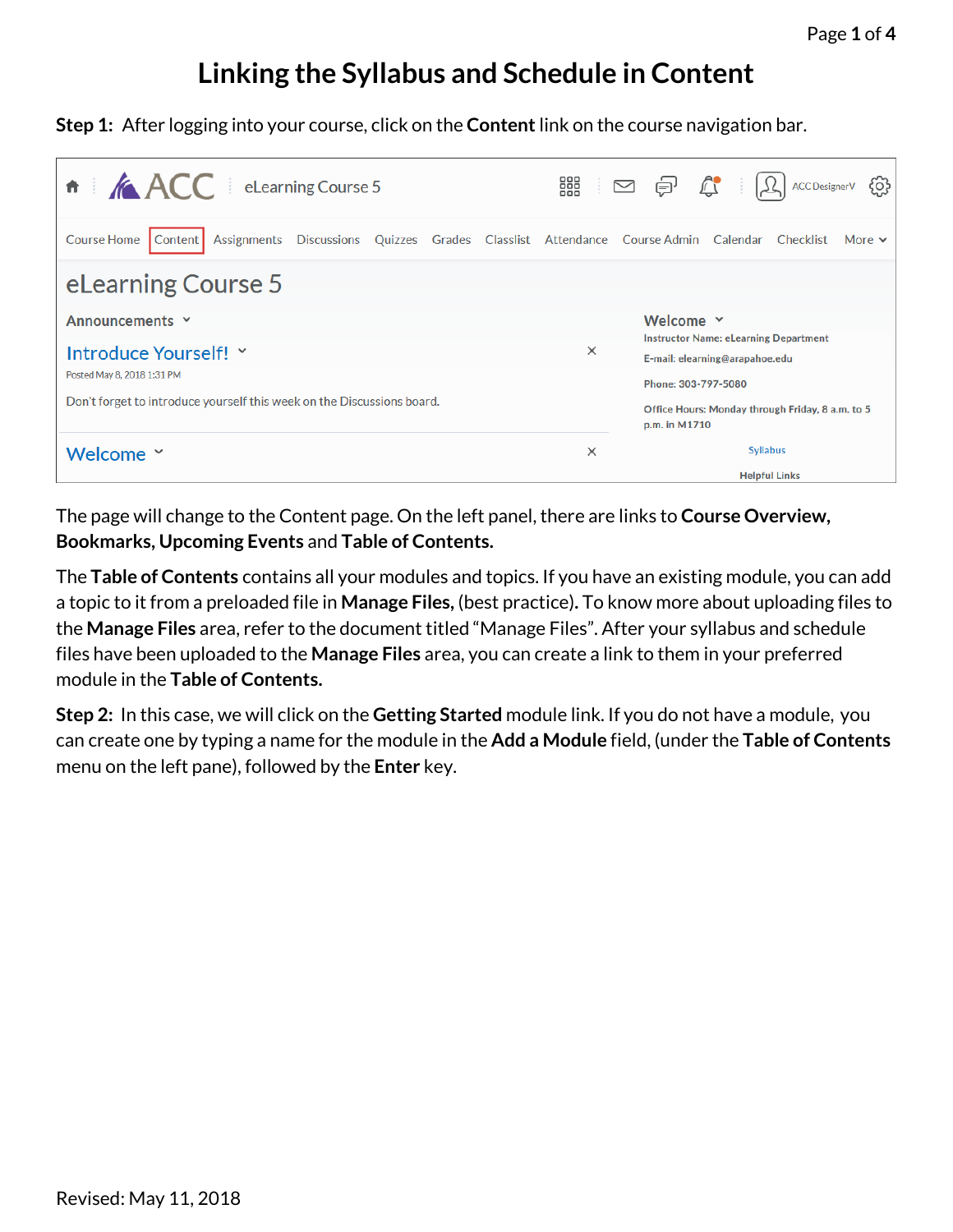## **Linking the Syllabus and Schedule in Content**

**Step 1:** After logging into your course, click on the **Content**link on the course navigation bar.

| $\uparrow$ $\mathcal{A}$ $\cap$ eLearning Course 5                                                                 | 888<br>888 | $\circledcirc$ $\circledcirc$ $\circledcirc$<br>ACC DesignerV {0}              |  |  |
|--------------------------------------------------------------------------------------------------------------------|------------|--------------------------------------------------------------------------------|--|--|
| <b>Course Home</b><br>Assignments Discussions Quizzes Grades Classlist Attendance Course Admin Calendar<br>Content |            | Checklist<br>More $\sim$                                                       |  |  |
| eLearning Course 5                                                                                                 |            |                                                                                |  |  |
| Announcements Y                                                                                                    |            | Welcome $\sim$                                                                 |  |  |
| Introduce Yourself! Y                                                                                              | $\times$   | <b>Instructor Name: eLearning Department</b><br>E-mail: elearning@arapahoe.edu |  |  |
| Posted May 8, 2018 1:31 PM                                                                                         |            | Phone: 303-797-5080                                                            |  |  |
| Don't forget to introduce yourself this week on the Discussions board.                                             |            | Office Hours: Monday through Friday, 8 a.m. to 5<br>p.m. in M1710              |  |  |
| Welcome ×                                                                                                          | $\times$   | Syllabus                                                                       |  |  |
|                                                                                                                    |            | <b>Helpful Links</b>                                                           |  |  |

The page will change to the Content page. On the left panel, there are links to **Course Overview, Bookmarks, Upcoming Events** and **Table of Contents.** 

The **Table of Contents** contains all your modules and topics. If you have an existing module, you can add a topic to it from a preloaded file in **Manage Files,** (best practice)**.** To know more about uploading files to the **Manage Files** area, refer to the document titled "Manage Files". After your syllabus and schedule files have been uploaded to the **Manage Files** area, you can create a link to them in your preferred module in the **Table of Contents.**

**Step 2:** In this case, we will click on the **Getting Started** module link. If you do not have a module, you can create one by typing a name for the module in the **Add a Module** field, (under the **Table of Contents** menu on the left pane), followed by the **Enter** key.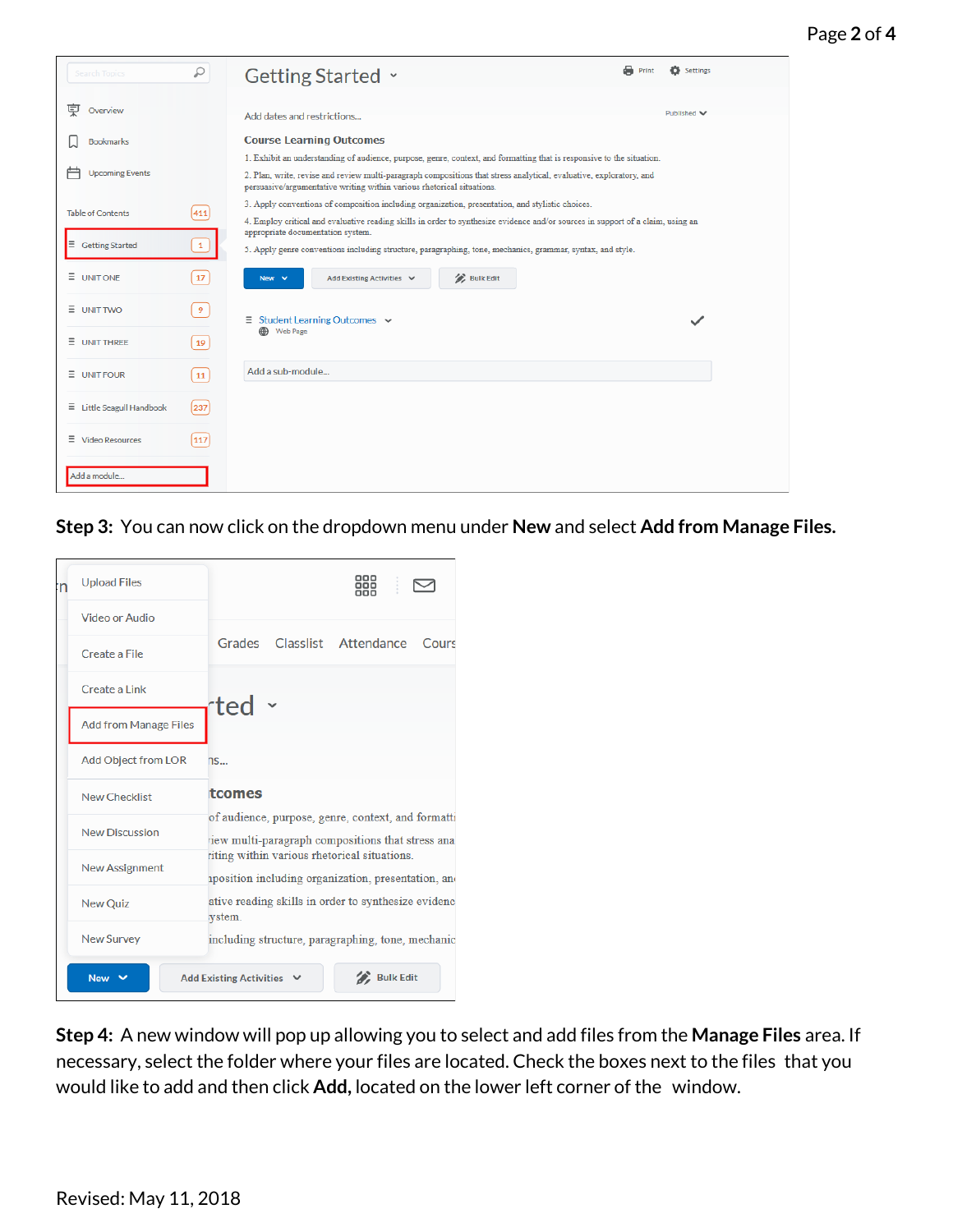| Search Topics                    | Q              | a.<br>Print<br>Getting Started ×                                                                                                                                                                                                                                                                                       | Settings    |
|----------------------------------|----------------|------------------------------------------------------------------------------------------------------------------------------------------------------------------------------------------------------------------------------------------------------------------------------------------------------------------------|-------------|
| 모<br>Overview                    |                | Add dates and restrictions                                                                                                                                                                                                                                                                                             | Published V |
| Bookmarks                        |                | <b>Course Learning Outcomes</b>                                                                                                                                                                                                                                                                                        |             |
| <b>Upcoming Events</b>           |                | 1. Exhibit an understanding of audience, purpose, genre, context, and formatting that is responsive to the situation.<br>2. Plan, write, revise and review multi-paragraph compositions that stress analytical, evaluative, exploratory, and<br>persuasive/argumentative writing within various rhetorical situations. |             |
| <b>Table of Contents</b>         | 411            | 3. Apply conventions of composition including organization, presentation, and stylistic choices.<br>4. Employ critical and evaluative reading skills in order to synthesize evidence and/or sources in support of a claim, using an                                                                                    |             |
| $\equiv$ Getting Started         | $\mathbf{1}$   | appropriate documentation system.<br>5. Apply genre conventions including structure, paragraphing, tone, mechanics, grammar, syntax, and style.                                                                                                                                                                        |             |
| $\equiv$ UNIT ONE                | 17             | <b>Bulk Edit</b><br>Add Existing Activities V<br>New $\vee$                                                                                                                                                                                                                                                            |             |
| $\equiv$ UNIT TWO                | $\overline{9}$ | $\equiv$ Student Learning Outcomes $\sim$                                                                                                                                                                                                                                                                              |             |
| $\equiv$ UNIT THREE              | 19             | <b>Web Page</b><br>⊕                                                                                                                                                                                                                                                                                                   |             |
| $\equiv$ UNIT FOUR               | 11             | Add a sub-module                                                                                                                                                                                                                                                                                                       |             |
| $\equiv$ Little Seagull Handbook | 237            |                                                                                                                                                                                                                                                                                                                        |             |
| $\equiv$ Video Resources         | 117            |                                                                                                                                                                                                                                                                                                                        |             |
| Add a module                     |                |                                                                                                                                                                                                                                                                                                                        |             |

**Step 3:** You can now click on the dropdown menu under **New** and select **Add from Manage Files.**

| 'n | <b>Upload Files</b>                                              | 000                                                                                                      |  |  |  |  |
|----|------------------------------------------------------------------|----------------------------------------------------------------------------------------------------------|--|--|--|--|
|    | Video or Audio                                                   |                                                                                                          |  |  |  |  |
|    | Create a File                                                    | Grades Classlist Attendance<br>Cours                                                                     |  |  |  |  |
|    | Create a Link                                                    | ted ×                                                                                                    |  |  |  |  |
|    | <b>Add from Manage Files</b>                                     |                                                                                                          |  |  |  |  |
|    | <b>Add Object from LOR</b>                                       | $\n  n$                                                                                                  |  |  |  |  |
|    | <b>New Checklist</b>                                             | <b>tcomes</b>                                                                                            |  |  |  |  |
|    | <b>New Discussion</b>                                            | of audience, purpose, genre, context, and formatti<br>riew multi-paragraph compositions that stress anal |  |  |  |  |
|    | <b>New Assignment</b>                                            | riting within various rhetorical situations.<br>aposition including organization, presentation, and      |  |  |  |  |
|    | <b>New Quiz</b>                                                  | ative reading skills in order to synthesize evidence<br>iystem.                                          |  |  |  |  |
|    | <b>New Survey</b>                                                | including structure, paragraphing, tone, mechanic                                                        |  |  |  |  |
|    | <b>Bulk Edit</b><br><b>New</b><br><b>Add Existing Activities</b> |                                                                                                          |  |  |  |  |

**Step 4:** A new window will pop up allowing you to select and add files from the **Manage Files** area. If necessary, select the folder where your files are located. Check the boxes next to the files that you would like to add and then click **Add,** located on the lower left corner of the window.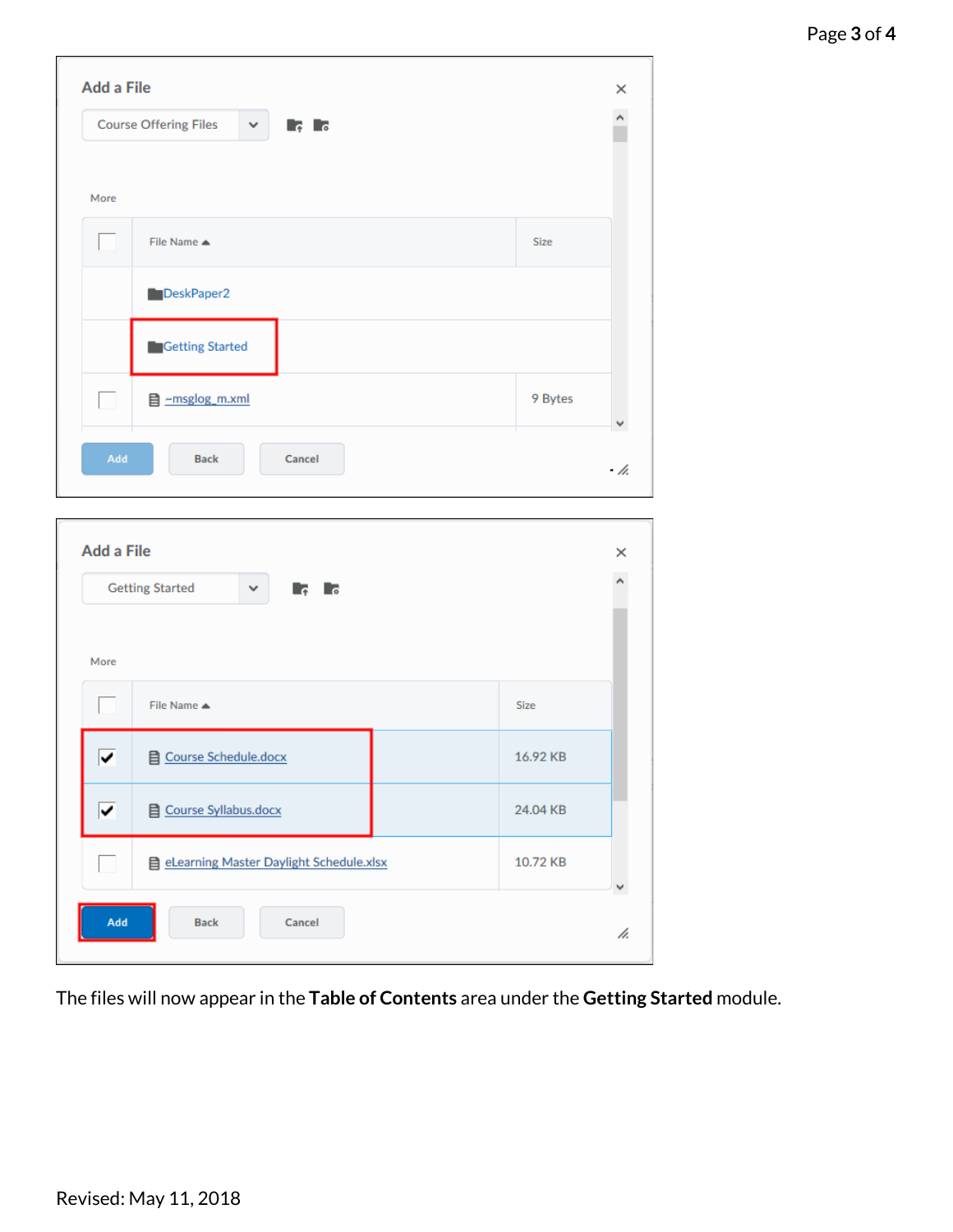|                   | <b>Course Offering Files</b><br>$\blacksquare$<br>$\checkmark$ |          |       |
|-------------------|----------------------------------------------------------------|----------|-------|
| More              |                                                                |          |       |
|                   | File Name ▲                                                    | Size     |       |
|                   | DeskPaper2                                                     |          |       |
|                   | <b>Getting Started</b>                                         |          |       |
| $\Box$            | 目 ~msglog_m.xml                                                | 9 Bytes  |       |
|                   |                                                                |          |       |
| Add               | <b>Back</b><br>Cancel                                          |          |       |
|                   |                                                                |          | - 11. |
| <b>Add a File</b> |                                                                |          |       |
|                   | <b>Getting Started</b><br>$\sqrt{1 + \epsilon}$<br>v.          |          |       |
|                   |                                                                |          | ×     |
| More              |                                                                |          |       |
|                   | File Name ▲                                                    | Size     |       |
| ⊽                 | <b>B</b> Course Schedule.docx                                  | 16.92 KB |       |
| ▽                 | <b>E</b> Course Syllabus.docx                                  | 24.04 KB |       |
| $\mathcal{L}$     | eLearning Master Daylight Schedule.xlsx                        | 10.72 KB |       |

The files will now appear in the **Table of Contents** area under the **Getting Started** module.